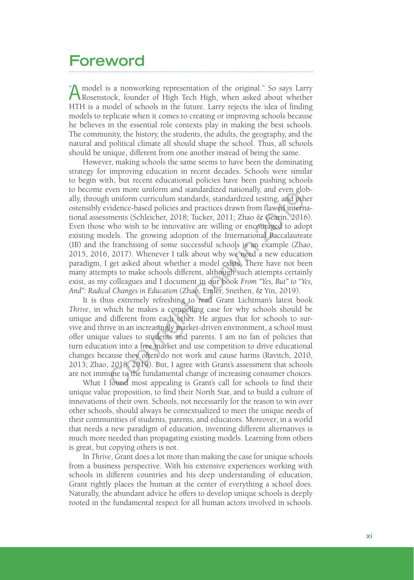## **Foreword**

A model is a nonworking representation of the original." So says Larry Rosenstock, founder of High Tech High, when asked about whether HTH is a model of schools in the future. Larry rejects the idea of finding models to replicate when it comes to creating or improving schools because he believes in the essential role contexts play in making the best schools. The community, the history, the students, the adults, the geography, and the natural and political climate all should shape the school. Thus, all schools should be unique, different from one another instead of being the same.  $\ddot{\phantom{0}}$ 

However, making schools the same seems to have been the dominating strategy for improving education in recent decades. Schools were similar to begin with, but recent educational policies have been pushing schools to become even more uniform and standardized nationally, and even globally, through uniform curriculum standards, standardized testing, and other ostensibly evidence-based policies and practices drawn from flawed international assessments (Schleicher, 2018; Tucker, 2011; Zhao & Gearin, 2016). Even those who wish to be innovative are willing or encouraged to adopt existing models. The growing adoption of the International Baccalaureate (IB) and the franchising of some successful schools is an example (Zhao, 2015, 2016, 2017). Whenever I talk about why we need a new education paradigm, I get asked about whether a model exists. There have not been many attempts to make schools different, although such attempts certainly exist, as my colleagues and I document in our book *From "Yes, But" to "Yes, And": Radical Changes in Education* (Zhao, Emler, Snethen, & Yin, 2019). From the uniomin and standardized nationary, and every give<br>the uniform curriculum standardized testing, and oth<br>vidence-based policies and practices drawn from flawed interm<br>ments (Schleicher, 2018; Tucker, 2011; Zhao &

It is thus extremely refreshing to read Grant Lichtman's latest book *Thrive*, in which he makes a compelling case for why schools should be unique and different from each other. He argues that for schools to survive and thrive in an increasingly market-driven environment, a school must offer unique values to students and parents. I am no fan of policies that turn education into a free market and use competition to drive educational changes because they often do not work and cause harms (Ravitch, 2010, 2013; Zhao, 2018, 2019). But, I agree with Grant's assessment that schools are not immune to the fundamental change of increasing consumer choices.

What I found most appealing is Grant's call for schools to find their unique value proposition, to find their North Star, and to build a culture of innovations of their own. Schools, not necessarily for the reason to win over other schools, should always be contextualized to meet the unique needs of their communities of students, parents, and educators. Moreover, in a world that needs a new paradigm of education, inventing different alternatives is much more needed than propagating existing models. Learning from others is great, but copying others is not.

In *Thrive*, Grant does a lot more than making the case for unique schools from a business perspective. With his extensive experiences working with schools in different countries and his deep understanding of education, Grant rightly places the human at the center of everything a school does. Naturally, the abundant advice he offers to develop unique schools is deeply rooted in the fundamental respect for all human actors involved in schools.